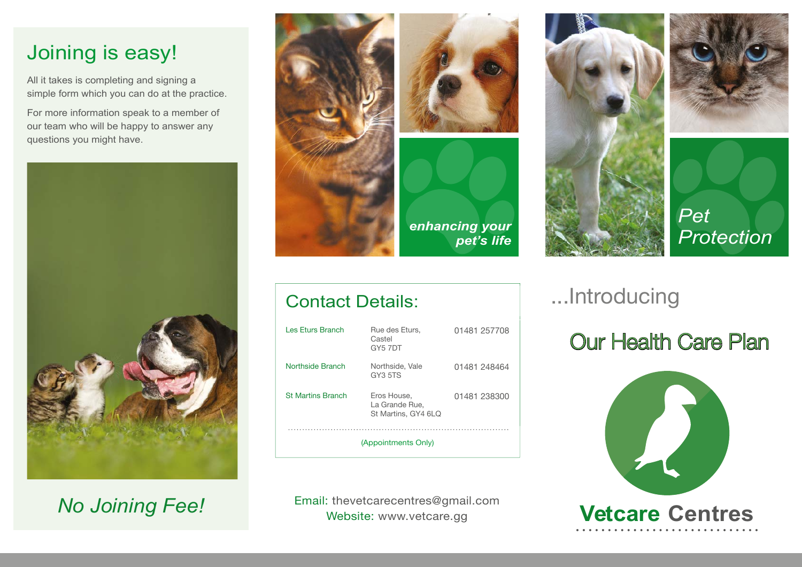### Joining is easy!

All it takes is completing and signing a simple form which you can do at the practice.

For more information speak to a member of our team who will be happy to answer any questions you might have.



*No Joining Fee!*



Les Eturs Branch Rue des Eturs,

Contact Details:

Northside Branch Northside, Vale

St Martins Branch Eros House,

Castel GY5 7DT

GY3 5TS

La Grande Rue, St Martins, GY4 6LQ

(Appointments Only)



01481 257708

01481 248464

01481 238300





*Pet* 

# ...Introducing

# Our Health Care Plan



Email: thevetcarecentres@gmail.com Website: www.vetcare.gg